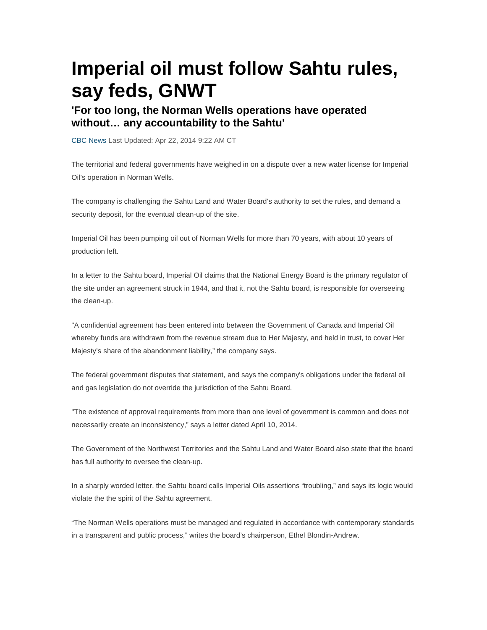## **Imperial oil must follow Sahtu rules, say feds, GNWT**

## **'For too long, the Norman Wells operations have operated without… any accountability to the Sahtu'**

CBC News Last Updated: Apr 22, 2014 9:22 AM CT

The territorial and federal governments have weighed in on a dispute over a new water license for Imperial Oil's operation in Norman Wells.

The company is challenging the Sahtu Land and Water Board's authority to set the rules, and demand a security deposit, for the eventual clean-up of the site.

Imperial Oil has been pumping oil out of Norman Wells for more than 70 years, with about 10 years of production left.

In a letter to the Sahtu board, Imperial Oil claims that the National Energy Board is the primary regulator of the site under an agreement struck in 1944, and that it, not the Sahtu board, is responsible for overseeing the clean-up.

"A confidential agreement has been entered into between the Government of Canada and Imperial Oil whereby funds are withdrawn from the revenue stream due to Her Majesty, and held in trust, to cover Her Majesty's share of the abandonment liability," the company says.

The federal government disputes that statement, and says the company's obligations under the federal oil and gas legislation do not override the jurisdiction of the Sahtu Board.

"The existence of approval requirements from more than one level of government is common and does not necessarily create an inconsistency," says a letter dated April 10, 2014.

The Government of the Northwest Territories and the Sahtu Land and Water Board also state that the board has full authority to oversee the clean-up.

In a sharply worded letter, the Sahtu board calls Imperial Oils assertions "troubling," and says its logic would violate the the spirit of the Sahtu agreement.

"The Norman Wells operations must be managed and regulated in accordance with contemporary standards in a transparent and public process," writes the board's chairperson, Ethel Blondin-Andrew.